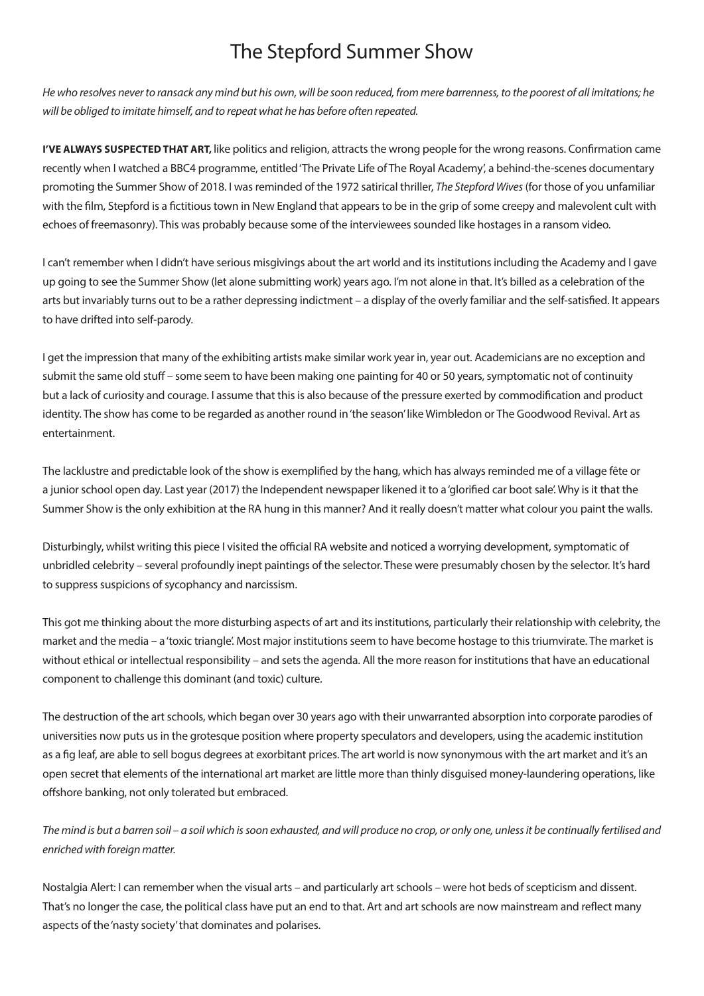## The Stepford Summer Show

*He who resolves never to ransack any mind but his own, will be soon reduced, from mere barrenness, to the poorest of all imitations; he will be obliged to imitate himself, and to repeat what he has before often repeated.*

**I'VE ALWAYS SUSPECTED THAT ART,** like politics and religion, attracts the wrong people for the wrong reasons. Confirmation came recently when I watched a BBC4 programme, entitled 'The Private Life of The Royal Academy', a behind-the-scenes documentary promoting the Summer Show of 2018. I was reminded of the 1972 satirical thriller, *The Stepford Wives* (for those of you unfamiliar with the film, Stepford is a fictitious town in New England that appears to be in the grip of some creepy and malevolent cult with echoes of freemasonry). This was probably because some of the interviewees sounded like hostages in a ransom video.

I can't remember when I didn't have serious misgivings about the art world and its institutions including the Academy and I gave up going to see the Summer Show (let alone submitting work) years ago. I'm not alone in that. It's billed as a celebration of the arts but invariably turns out to be a rather depressing indictment – a display of the overly familiar and the self-satisfied. It appears to have drifted into self-parody.

I get the impression that many of the exhibiting artists make similar work year in, year out. Academicians are no exception and submit the same old stuff – some seem to have been making one painting for 40 or 50 years, symptomatic not of continuity but a lack of curiosity and courage. I assume that this is also because of the pressure exerted by commodification and product identity. The show has come to be regarded as another round in 'the season' like Wimbledon or The Goodwood Revival. Art as entertainment.

The lacklustre and predictable look of the show is exemplified by the hang, which has always reminded me of a village fête or a junior school open day. Last year (2017) the Independent newspaper likened it to a 'glorified car boot sale'. Why is it that the Summer Show is the only exhibition at the RA hung in this manner? And it really doesn't matter what colour you paint the walls.

Disturbingly, whilst writing this piece I visited the official RA website and noticed a worrying development, symptomatic of unbridled celebrity – several profoundly inept paintings of the selector. These were presumably chosen by the selector. It's hard to suppress suspicions of sycophancy and narcissism.

This got me thinking about the more disturbing aspects of art and its institutions, particularly their relationship with celebrity, the market and the media – a 'toxic triangle'. Most major institutions seem to have become hostage to this triumvirate. The market is without ethical or intellectual responsibility – and sets the agenda. All the more reason for institutions that have an educational component to challenge this dominant (and toxic) culture.

The destruction of the art schools, which began over 30 years ago with their unwarranted absorption into corporate parodies of universities now puts us in the grotesque position where property speculators and developers, using the academic institution as a fig leaf, are able to sell bogus degrees at exorbitant prices. The art world is now synonymous with the art market and it's an open secret that elements of the international art market are little more than thinly disguised money-laundering operations, like offshore banking, not only tolerated but embraced.

*The mind is but a barren soil – a soil which is soon exhausted, and will produce no crop, or only one, unless it be continually fertilised and enriched with foreign matter.*

Nostalgia Alert: I can remember when the visual arts – and particularly art schools – were hot beds of scepticism and dissent. That's no longer the case, the political class have put an end to that. Art and art schools are now mainstream and reflect many aspects of the 'nasty society' that dominates and polarises.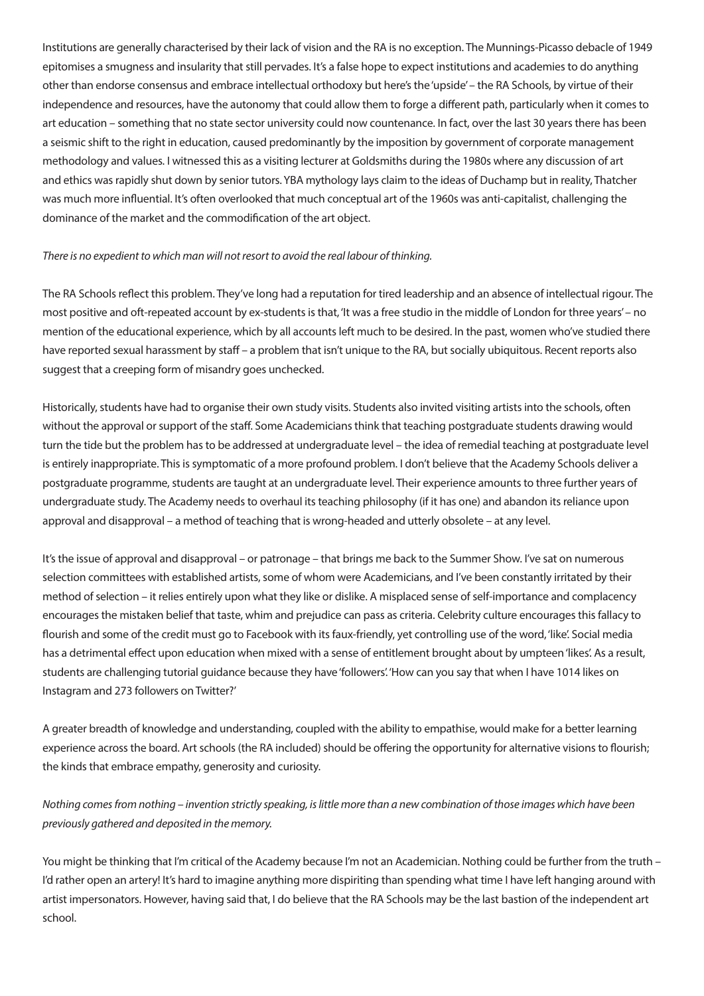Institutions are generally characterised by their lack of vision and the RA is no exception. The Munnings-Picasso debacle of 1949 epitomises a smugness and insularity that still pervades. It's a false hope to expect institutions and academies to do anything other than endorse consensus and embrace intellectual orthodoxy but here's the 'upside' – the RA Schools, by virtue of their independence and resources, have the autonomy that could allow them to forge a different path, particularly when it comes to art education – something that no state sector university could now countenance. In fact, over the last 30 years there has been a seismic shift to the right in education, caused predominantly by the imposition by government of corporate management methodology and values. I witnessed this as a visiting lecturer at Goldsmiths during the 1980s where any discussion of art and ethics was rapidly shut down by senior tutors. YBA mythology lays claim to the ideas of Duchamp but in reality, Thatcher was much more influential. It's often overlooked that much conceptual art of the 1960s was anti-capitalist, challenging the dominance of the market and the commodification of the art object.

## *There is no expedient to which man will not resort to avoid the real labour of thinking.*

The RA Schools reflect this problem. They've long had a reputation for tired leadership and an absence of intellectual rigour. The most positive and oft-repeated account by ex-students is that, 'It was a free studio in the middle of London for three years' – no mention of the educational experience, which by all accounts left much to be desired. In the past, women who've studied there have reported sexual harassment by staff – a problem that isn't unique to the RA, but socially ubiquitous. Recent reports also suggest that a creeping form of misandry goes unchecked.

Historically, students have had to organise their own study visits. Students also invited visiting artists into the schools, often without the approval or support of the staff. Some Academicians think that teaching postgraduate students drawing would turn the tide but the problem has to be addressed at undergraduate level – the idea of remedial teaching at postgraduate level is entirely inappropriate. This is symptomatic of a more profound problem. I don't believe that the Academy Schools deliver a postgraduate programme, students are taught at an undergraduate level. Their experience amounts to three further years of undergraduate study. The Academy needs to overhaul its teaching philosophy (if it has one) and abandon its reliance upon approval and disapproval – a method of teaching that is wrong-headed and utterly obsolete – at any level.

It's the issue of approval and disapproval – or patronage – that brings me back to the Summer Show. I've sat on numerous selection committees with established artists, some of whom were Academicians, and I've been constantly irritated by their method of selection – it relies entirely upon what they like or dislike. A misplaced sense of self-importance and complacency encourages the mistaken belief that taste, whim and prejudice can pass as criteria. Celebrity culture encourages this fallacy to flourish and some of the credit must go to Facebook with its faux-friendly, yet controlling use of the word, 'like'. Social media has a detrimental effect upon education when mixed with a sense of entitlement brought about by umpteen 'likes'. As a result, students are challenging tutorial guidance because they have 'followers'. 'How can you say that when I have 1014 likes on Instagram and 273 followers on Twitter?'

A greater breadth of knowledge and understanding, coupled with the ability to empathise, would make for a better learning experience across the board. Art schools (the RA included) should be offering the opportunity for alternative visions to flourish; the kinds that embrace empathy, generosity and curiosity.

*Nothing comes from nothing – invention strictly speaking, is little more than a new combination of those images which have been previously gathered and deposited in the memory.*

You might be thinking that I'm critical of the Academy because I'm not an Academician. Nothing could be further from the truth – I'd rather open an artery! It's hard to imagine anything more dispiriting than spending what time I have left hanging around with artist impersonators. However, having said that, I do believe that the RA Schools may be the last bastion of the independent art school.